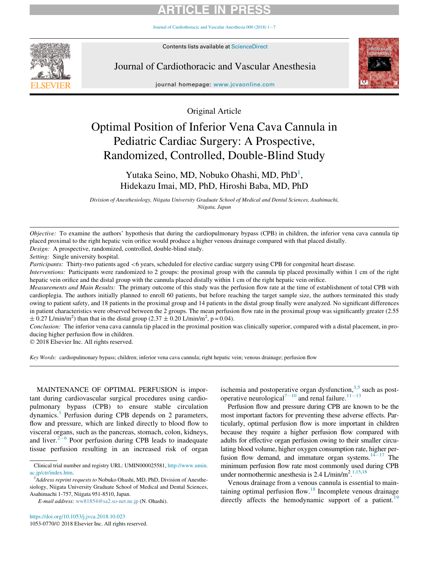Journal of Cardiothoracic and Vascular Anesthesia  $000(2018)$  1-[7](https://doi.org/10.1053/j.jvca.2018.10.023)



Contents lists available at ScienceDirect

### Journal of Cardiothoracic and Vascular Anesthesia



journal homepage: [www.jcvaonline.com](http://www.jcvaonline.com)

Original Article

# Optimal Position of Inferior Vena Cava Cannula in Pediatric Cardiac Surgery: A Prospective, Randomized, Controlled, Double-Blind Study

### Yutaka Seino, MD, Nobuko Ohashi, MD, PhD<sup>[1](#page-0-0)</sup>, Hidekazu Imai, MD, PhD, Hiroshi Baba, MD, PhD

Division of Anesthesiology, Niigata University Graduate School of Medical and Dental Sciences, Asahimachi, Niigata, Japan

Objective: To examine the authors' hypothesis that during the cardiopulmonary bypass (CPB) in children, the inferior vena cava cannula tip placed proximal to the right hepatic vein orifice would produce a higher venous drainage compared with that placed distally. Design: A prospective, randomized, controlled, double-blind study.

Setting: Single university hospital.

Participants: Thirty-two patients aged <6 years, scheduled for elective cardiac surgery using CPB for congenital heart disease.

Interventions: Participants were randomized to 2 groups: the proximal group with the cannula tip placed proximally within 1 cm of the right hepatic vein orifice and the distal group with the cannula placed distally within 1 cm of the right hepatic vein orifice.

Measurements and Main Results: The primary outcome of this study was the perfusion flow rate at the time of establishment of total CPB with cardioplegia. The authors initially planned to enroll 60 patients, but before reaching the target sample size, the authors terminated this study owing to patient safety, and 18 patients in the proximal group and 14 patients in the distal group finally were analyzed. No significant differences in patient characteristics were observed between the 2 groups. The mean perfusion flow rate in the proximal group was significantly greater (2.55  $\pm$  0.27 L/min/m<sup>2</sup>) than that in the distal group (2.37  $\pm$  0.20 L/min/m<sup>2</sup>, p = 0.04).

Conclusion: The inferior vena cava cannula tip placed in the proximal position was clinically superior, compared with a distal placement, in producing higher perfusion flow in children.

2018 Elsevier Inc. All rights reserved.

Key Words: cardiopulmonary bypass; children; inferior vena cava cannula; right hepatic vein; venous drainage; perfusion flow

MAINTENANCE OF OPTIMAL PERFUSION is important during cardiovascular surgical procedures using cardiopulmonary bypass (CPB) to ensure stable circulation dynamics.[1](#page-5-0) Perfusion during CPB depends on 2 parameters, flow and pressure, which are linked directly to blood flow to visceral organs, such as the pancreas, stomach, colon, kidneys, and liver. $2-6$  $2-6$  $2-6$  Poor perfusion during CPB leads to inadequate tissue perfusion resulting in an increased risk of organ ischemia and postoperative organ dysfunction,  $3.5$  such as post-operative neurological<sup>[7](#page-6-0)-[10](#page-6-0)</sup> and renal failure.<sup>[11](#page-6-1)-[13](#page-6-1)</sup>

Perfusion flow and pressure during CPB are known to be the most important factors for preventing these adverse effects. Particularly, optimal perfusion flow is more important in children because they require a higher perfusion flow compared with adults for effective organ perfusion owing to their smaller circulating blood volume, higher oxygen consumption rate, higher perfusion flow demand, and immature organ systems. $14-17$  $14-17$  The minimum perfusion flow rate most commonly used during CPB under normothermic anesthesia is  $2.4 \text{ L/min/m}^2$ .<sup>[1,15](#page-5-0)[,18](#page-6-3)</sup>

Venous drainage from a venous cannula is essential to main-taining optimal perfusion flow.<sup>[18](#page-6-3)</sup> Incomplete venous drainage directly affects the hemodynamic support of a patient.<sup>[19](#page-6-4)</sup>

Clinical trial number and registry URL: UMIN000025581, [http://www.umin.](http://www.umin.ac.jp/ctr/index.htm) [ac.jp/ctr/index.htm](http://www.umin.ac.jp/ctr/index.htm).

<span id="page-0-0"></span> $<sup>1</sup>Address$  reprint requests to Nobuko Ohashi, MD, PhD, Division of Anesthe-</sup> siology, Niigata University Graduate School of Medical and Dental Sciences, Asahimachi 1-757, Niigata 951-8510, Japan.

E-mail address: [ww81854@sa2.so-net.ne.jp](mailto:ww81854@sa2.so-net.ne.jp) (N. Ohashi).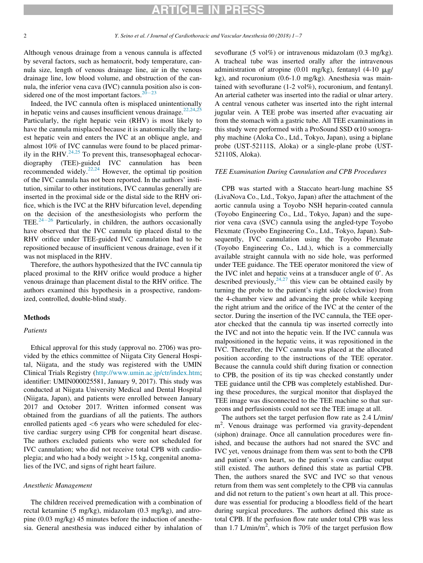### ITICLE IN PRE

Although venous drainage from a venous cannula is affected by several factors, such as hematocrit, body temperature, cannula size, length of venous drainage line, air in the venous drainage line, low blood volume, and obstruction of the cannula, the inferior vena cava (IVC) cannula position also is considered one of the most important factors.  $2\overline{0}-23$  $2\overline{0}-23$ 

Indeed, the IVC cannula often is misplaced unintentionally in hepatic veins and causes insufficient venous drainage.<sup>[22,24](#page-6-6),[25](#page-6-7)</sup> Particularly, the right hepatic vein (RHV) is most likely to have the cannula misplaced because it is anatomically the largest hepatic vein and enters the IVC at an oblique angle, and almost 10% of IVC cannulas were found to be placed primarily in the RHV. $^{24,25}$  $^{24,25}$  $^{24,25}$  To prevent this, transesophageal echocardiography (TEE)-guided IVC cannulation has been recommended widely.<sup>[22,24](#page-6-6)</sup> However, the optimal tip position of the IVC cannula has not been reported. In the authors' institution, similar to other institutions, IVC cannulas generally are inserted in the proximal side or the distal side to the RHV orifice, which is the IVC at the RHV bifurcation level, depending on the decision of the anesthesiologists who perform the TEE. $24-26$  $24-26$  $24-26$  Particularly, in children, the authors occasionally have observed that the IVC cannula tip placed distal to the RHV orifice under TEE-guided IVC cannulation had to be repositioned because of insufficient venous drainage, even if it was not misplaced in the RHV.

Therefore, the authors hypothesized that the IVC cannula tip placed proximal to the RHV orifice would produce a higher venous drainage than placement distal to the RHV orifice. The authors examined this hypothesis in a prospective, randomized, controlled, double-blind study.

#### Methods

#### Patients

Ethical approval for this study (approval no. 2706) was provided by the ethics committee of Niigata City General Hospital, Niigata, and the study was registered with the UMIN Clinical Trials Registry ([http://www.umin.ac.jp/ctr/index.htm;](http://www.umin.ac.jp/ctr/index.htm) identifier: UMIN000025581, January 9, 2017). This study was conducted at Niigata University Medical and Dental Hospital (Niigata, Japan), and patients were enrolled between January 2017 and October 2017. Written informed consent was obtained from the guardians of all the patients. The authors enrolled patients aged <6 years who were scheduled for elective cardiac surgery using CPB for congenital heart disease. The authors excluded patients who were not scheduled for IVC cannulation; who did not receive total CPB with cardioplegia; and who had a body weight >15 kg, congenital anomalies of the IVC, and signs of right heart failure.

#### Anesthetic Management

The children received premedication with a combination of rectal ketamine (5 mg/kg), midazolam (0.3 mg/kg), and atropine (0.03 mg/kg) 45 minutes before the induction of anesthesia. General anesthesia was induced either by inhalation of sevoflurane (5 vol%) or intravenous midazolam (0.3 mg/kg). A tracheal tube was inserted orally after the intravenous administration of atropine (0.01 mg/kg), fentanyl (4-10  $\mu$ g/ kg), and rocuronium (0.6-1.0 mg/kg). Anesthesia was maintained with sevoflurane (1-2 vol%), rocuronium, and fentanyl. An arterial catheter was inserted into the radial or ulnar artery. A central venous catheter was inserted into the right internal jugular vein. A TEE probe was inserted after evacuating air from the stomach with a gastric tube. All TEE examinations in this study were performed with a ProSound SSD  $\alpha$ 10 sonography machine (Aloka Co., Ltd., Tokyo, Japan), using a biplane probe (UST-52111S, Aloka) or a single-plane probe (UST-52110S, Aloka).

#### TEE Examination During Cannulation and CPB Procedures

CPB was started with a Staccato heart-lung machine S5 (LivaNova Co., Ltd., Tokyo, Japan) after the attachment of the aortic cannula using a Toyobo NSH heparin-coated cannula (Toyobo Engineering Co., Ltd., Tokyo, Japan) and the superior vena cava (SVC) cannula using the angled-type Toyobo Flexmate (Toyobo Engineering Co., Ltd., Tokyo, Japan). Subsequently, IVC cannulation using the Toyobo Flexmate (Toyobo Engineering Co., Ltd.), which is a commercially available straight cannula with no side hole, was performed under TEE guidance. The TEE operator monitored the view of the IVC inlet and hepatic veins at a transducer angle of 0˚. As described previously,  $24.27$  this view can be obtained easily by turning the probe to the patient's right side (clockwise) from the 4-chamber view and advancing the probe while keeping the right atrium and the orifice of the IVC at the center of the sector. During the insertion of the IVC cannula, the TEE operator checked that the cannula tip was inserted correctly into the IVC and not into the hepatic vein. If the IVC cannula was malpositioned in the hepatic veins, it was repositioned in the IVC. Thereafter, the IVC cannula was placed at the allocated position according to the instructions of the TEE operator. Because the cannula could shift during fixation or connection to CPB, the position of its tip was checked constantly under TEE guidance until the CPB was completely established. During these procedures, the surgical monitor that displayed the TEE image was disconnected to the TEE machine so that surgeons and perfusionists could not see the TEE image at all.

The authors set the target perfusion flow rate as 2.4 L/min/ m2 . Venous drainage was performed via gravity-dependent (siphon) drainage. Once all cannulation procedures were finished, and because the authors had not snared the SVC and IVC yet, venous drainage from them was sent to both the CPB and patient's own heart, so the patient's own cardiac output still existed. The authors defined this state as partial CPB. Then, the authors snared the SVC and IVC so that venous return from them was sent completely to the CPB via cannulas and did not return to the patient's own heart at all. This procedure was essential for producing a bloodless field of the heart during surgical procedures. The authors defined this state as total CPB. If the perfusion flow rate under total CPB was less than 1.7 L/min/m<sup>2</sup>, which is 70% of the target perfusion flow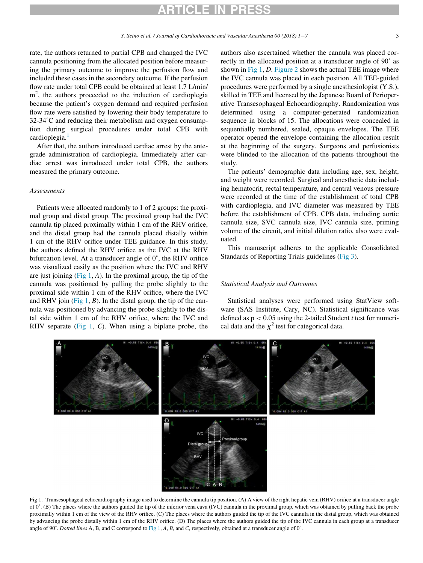rate, the authors returned to partial CPB and changed the IVC cannula positioning from the allocated position before measuring the primary outcome to improve the perfusion flow and included these cases in the secondary outcome. If the perfusion flow rate under total CPB could be obtained at least 1.7 L/min/ m<sup>2</sup>, the authors proceeded to the induction of cardioplegia because the patient's oxygen demand and required perfusion flow rate were satisfied by lowering their body temperature to 32-34˚C and reducing their metabolism and oxygen consumption during surgical procedures under total CPB with cardioplegia.<sup>[1](#page-5-0)</sup>

After that, the authors introduced cardiac arrest by the antegrade administration of cardioplegia. Immediately after cardiac arrest was introduced under total CPB, the authors measured the primary outcome.

#### Assessments

Patients were allocated randomly to 1 of 2 groups: the proximal group and distal group. The proximal group had the IVC cannula tip placed proximally within 1 cm of the RHV orifice, and the distal group had the cannula placed distally within 1 cm of the RHV orifice under TEE guidance. In this study, the authors defined the RHV orifice as the IVC at the RHV bifurcation level. At a transducer angle of 0˚, the RHV orifice was visualized easily as the position where the IVC and RHV are just joining  $(Fig 1, A)$  $(Fig 1, A)$ . In the proximal group, the tip of the cannula was positioned by pulling the probe slightly to the proximal side within 1 cm of the RHV orifice, where the IVC and RHV join (Fig  $1, B$ ). In the distal group, the tip of the cannula was positioned by advancing the probe slightly to the distal side within 1 cm of the RHV orifice, where the IVC and RHV separate ([Fig 1](#page-2-0),  $C$ ). When using a biplane probe, the authors also ascertained whether the cannula was placed correctly in the allocated position at a transducer angle of 90˚ as shown in Fig  $1, D$ . [Figure 2](#page-3-0) shows the actual TEE image where the IVC cannula was placed in each position. All TEE-guided procedures were performed by a single anesthesiologist (Y.S.), skilled in TEE and licensed by the Japanese Board of Perioperative Transesophageal Echocardiography. Randomization was determined using a computer-generated randomization sequence in blocks of 15. The allocations were concealed in sequentially numbered, sealed, opaque envelopes. The TEE operator opened the envelope containing the allocation result at the beginning of the surgery. Surgeons and perfusionists were blinded to the allocation of the patients throughout the study.

The patients' demographic data including age, sex, height, and weight were recorded. Surgical and anesthetic data including hematocrit, rectal temperature, and central venous pressure were recorded at the time of the establishment of total CPB with cardioplegia, and IVC diameter was measured by TEE before the establishment of CPB. CPB data, including aortic cannula size, SVC cannula size, IVC cannula size, priming volume of the circuit, and initial dilution ratio, also were evaluated.

This manuscript adheres to the applicable Consolidated Standards of Reporting Trials guidelines [\(Fig 3](#page-3-1)).

#### Statistical Analysis and Outcomes

Statistical analyses were performed using StatView software (SAS Institute, Cary, NC). Statistical significance was defined as  $p < 0.05$  using the 2-tailed Student t test for numerical data and the  $\chi^2$  test for categorical data.

<span id="page-2-0"></span>

Fig 1. Transesophageal echocardiography image used to determine the cannula tip position. (A) A view of the right hepatic vein (RHV) orifice at a transducer angle of 0˚. (B) The places where the authors guided the tip of the inferior vena cava (IVC) cannula in the proximal group, which was obtained by pulling back the probe proximally within 1 cm of the view of the RHV orifice. (C) The places where the authors guided the tip of the IVC cannula in the distal group, which was obtained by advancing the probe distally within 1 cm of the RHV orifice. (D) The places where the authors guided the tip of the IVC cannula in each group at a transducer angle of 90 $\degree$ . Dotted lines A, B, and C correspond to [Fig 1,](#page-2-0) A, B, and C, respectively, obtained at a transducer angle of  $0\degree$ .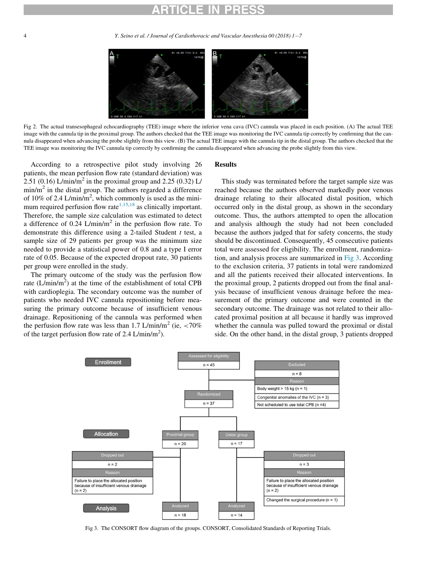$Y.$  Seino et al. / Journal of Cardiothoracic and Vascular Anesthesia 00 (2018) 1-7



<span id="page-3-0"></span>Fig 2. The actual transesophageal echocardiography (TEE) image where the inferior vena cava (IVC) cannula was placed in each position. (A) The actual TEE image with the cannula tip in the proximal group. The authors checked that the TEE image was monitoring the IVC cannula tip correctly by confirming that the cannula disappeared when advancing the probe slightly from this view. (B) The actual TEE image with the cannula tip in the distal group. The authors checked that the TEE image was monitoring the IVC cannula tip correctly by confirming the cannula disappeared when advancing the probe slightly from this view.

According to a retrospective pilot study involving 26 patients, the mean perfusion flow rate (standard deviation) was 2.51 (0.16) L/min/m<sup>2</sup> in the proximal group and 2.25 (0.32) L/  $min/m<sup>2</sup>$  in the distal group. The authors regarded a difference of 10% of 2.4 L/min/m<sup>2</sup>, which commonly is used as the minimum required perfusion flow rate<sup> $1,15,18$  $1,15,18$ </sup> as clinically important. Therefore, the sample size calculation was estimated to detect a difference of  $0.24$  L/min/m<sup>2</sup> in the perfusion flow rate. To demonstrate this difference using a 2-tailed Student  $t$  test, a sample size of 29 patients per group was the minimum size needed to provide a statistical power of 0.8 and a type I error rate of 0.05. Because of the expected dropout rate, 30 patients per group were enrolled in the study.

The primary outcome of the study was the perfusion flow rate  $(L/min/m<sup>2</sup>)$  at the time of the establishment of total CPB with cardioplegia. The secondary outcome was the number of patients who needed IVC cannula repositioning before measuring the primary outcome because of insufficient venous drainage. Repositioning of the cannula was performed when the perfusion flow rate was less than 1.7 L/min/m<sup>2</sup> (ie,  $\langle 70\%$ ) of the target perfusion flow rate of 2.4  $L/min/m<sup>2</sup>$ ).

#### Results

This study was terminated before the target sample size was reached because the authors observed markedly poor venous drainage relating to their allocated distal position, which occurred only in the distal group, as shown in the secondary outcome. Thus, the authors attempted to open the allocation and analysis although the study had not been concluded because the authors judged that for safety concerns, the study should be discontinued. Consequently, 45 consecutive patients total were assessed for eligibility. The enrollment, randomization, and analysis process are summarized in [Fig 3](#page-3-1). According to the exclusion criteria, 37 patients in total were randomized and all the patients received their allocated interventions. In the proximal group, 2 patients dropped out from the final analysis because of insufficient venous drainage before the measurement of the primary outcome and were counted in the secondary outcome. The drainage was not related to their allocated proximal position at all because it hardly was improved whether the cannula was pulled toward the proximal or distal side. On the other hand, in the distal group, 3 patients dropped

<span id="page-3-1"></span>

Fig 3. The CONSORT flow diagram of the groups. CONSORT, Consolidated Standards of Reporting Trials.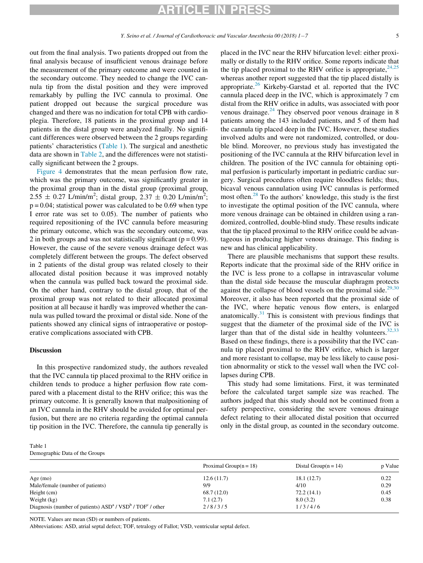### ICLE IN PRI

out from the final analysis. Two patients dropped out from the final analysis because of insufficient venous drainage before the measurement of the primary outcome and were counted in the secondary outcome. They needed to change the IVC cannula tip from the distal position and they were improved remarkably by pulling the IVC cannula to proximal. One patient dropped out because the surgical procedure was changed and there was no indication for total CPB with cardioplegia. Therefore, 18 patients in the proximal group and 14 patients in the distal group were analyzed finally. No significant differences were observed between the 2 groups regarding patients' characteristics ([Table 1\)](#page-4-0). The surgical and anesthetic data are shown in [Table 2,](#page-5-3) and the differences were not statistically significant between the 2 groups.

[Figure 4](#page-5-4) demonstrates that the mean perfusion flow rate, which was the primary outcome, was significantly greater in the proximal group than in the distal group (proximal group,  $2.55 \pm 0.27$  L/min/m<sup>2</sup>; distal group,  $2.37 \pm 0.20$  L/min/m<sup>2</sup>;  $p = 0.04$ ; statistical power was calculated to be 0.69 when type I error rate was set to 0.05). The number of patients who required repositioning of the IVC cannula before measuring the primary outcome, which was the secondary outcome, was 2 in both groups and was not statistically significant ( $p = 0.99$ ). However, the cause of the severe venous drainage defect was completely different between the groups. The defect observed in 2 patients of the distal group was related closely to their allocated distal position because it was improved notably when the cannula was pulled back toward the proximal side. On the other hand, contrary to the distal group, that of the proximal group was not related to their allocated proximal position at all because it hardly was improved whether the cannula was pulled toward the proximal or distal side. None of the patients showed any clinical signs of intraoperative or postoperative complications associated with CPB.

#### Discussion

In this prospective randomized study, the authors revealed that the IVC cannula tip placed proximal to the RHV orifice in children tends to produce a higher perfusion flow rate compared with a placement distal to the RHV orifice; this was the primary outcome. It is generally known that malpositioning of an IVC cannula in the RHV should be avoided for optimal perfusion, but there are no criteria regarding the optimal cannula tip position in the IVC. Therefore, the cannula tip generally is placed in the IVC near the RHV bifurcation level: either proximally or distally to the RHV orifice. Some reports indicate that the tip placed proximal to the RHV orifice is appropriate,  $24,25$ whereas another report suggested that the tip placed distally is appropriate. $^{26}$  $^{26}$  $^{26}$  Kirkeby-Garstad et al. reported that the IVC cannula placed deep in the IVC, which is approximately 7 cm distal from the RHV orifice in adults, was associated with poor venous drainage. $^{24}$  $^{24}$  $^{24}$  They observed poor venous drainage in 8 patients among the 143 included patients, and 5 of them had the cannula tip placed deep in the IVC. However, these studies involved adults and were not randomized, controlled, or double blind. Moreover, no previous study has investigated the positioning of the IVC cannula at the RHV bifurcation level in children. The position of the IVC cannula for obtaining optimal perfusion is particularly important in pediatric cardiac surgery. Surgical procedures often require bloodless fields; thus, bicaval venous cannulation using IVC cannulas is performed most often.<sup>[28](#page-6-10)</sup> To the authors' knowledge, this study is the first to investigate the optimal position of the IVC cannula, where more venous drainage can be obtained in children using a randomized, controlled, double-blind study. These results indicate that the tip placed proximal to the RHV orifice could be advantageous in producing higher venous drainage. This finding is new and has clinical applicability.

There are plausible mechanisms that support these results. Reports indicate that the proximal side of the RHV orifice in the IVC is less prone to a collapse in intravascular volume than the distal side because the muscular diaphragm protects against the collapse of blood vessels on the proximal side. $29,30$ Moreover, it also has been reported that the proximal side of the IVC, where hepatic venous flow enters, is enlarged anatomically. $31$  This is consistent with previous findings that suggest that the diameter of the proximal side of the IVC is larger than that of the distal side in healthy volunteers.  $32,33$ Based on these findings, there is a possibility that the IVC cannula tip placed proximal to the RHV orifice, which is larger and more resistant to collapse, may be less likely to cause position abnormality or stick to the vessel wall when the IVC collapses during CPB.

This study had some limitations. First, it was terminated before the calculated target sample size was reached. The authors judged that this study should not be continued from a safety perspective, considering the severe venous drainage defect relating to their allocated distal position that occurred only in the distal group, as counted in the secondary outcome.

<span id="page-4-0"></span>

| Table 1                        |  |
|--------------------------------|--|
| Demographic Data of the Groups |  |

|                                                                                               | Proximal Group $(n = 18)$ | Distal Group $(n = 14)$ | p Value |
|-----------------------------------------------------------------------------------------------|---------------------------|-------------------------|---------|
| Age (mo)                                                                                      | 12.6(11.7)                | 18.1(12.7)              | 0.22    |
| Male/female (number of patients)                                                              | 9/9                       | 4/10                    | 0.29    |
| Height (cm)                                                                                   | 68.7(12.0)                | 72.2(14.1)              | 0.45    |
| Weight (kg)                                                                                   | 7.1(2.7)                  | 8.0(3.2)                | 0.38    |
| Diagnosis (number of patients) ASD <sup>a</sup> / VSD <sup>b</sup> / TOF <sup>c</sup> / other | 2/8/3/5                   | 1/3/4/6                 |         |

NOTE. Values are mean (SD) or numbers of patients.

Abbreviations: ASD, atrial septal defect; TOF, tetralogy of Fallot; VSD, ventricular septal defect.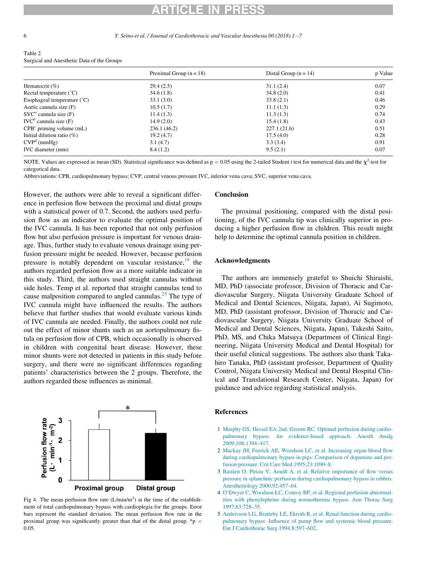6 Y. Seino et al. / Journal of Cardiothoracic and Vascular Anesthesia 00 (2018) 17

<span id="page-5-3"></span>

| Table 2                                    |
|--------------------------------------------|
| Surgical and Anesthetic Data of the Groups |

|                                        | Proximal Group $(n = 18)$ | Distal Group $(n = 14)$ | p Value |
|----------------------------------------|---------------------------|-------------------------|---------|
| Hematocrit $(\% )$                     | 29.4(2.5)                 | 31.1(2.4)               | 0.07    |
| Rectal temperature $(^{\circ}C)$       | 34.6(1.8)                 | 34.8(2.0)               | 0.41    |
| Esophageal temperature $({}^{\circ}C)$ | 33.1(3.0)                 | 33.8(2.1)               | 0.46    |
| Aortic cannula size (F)                | 10.5(1.7)                 | 11.1(1.3)               | 0.29    |
| $SVCa$ cannula size (F)                | 11.4(1.3)                 | 11.3(1.3)               | 0.74    |
| $IVCb$ cannula size (F)                | 14.9(2.0)                 | 15.4(1.8)               | 0.43    |
| $CPBc$ priming volume (mL)             | 236.1(46.2)               | 227.1(21.6)             | 0.51    |
| Initial dilution ratio $(\%)$          | 19.2(4.7)                 | 17.5(4.0)               | 0.28    |
| $CVP^d$ (mmHg)                         | 3.1(4.7)                  | 3.3(3.4)                | 0.91    |
| IVC diameter (mm)                      | 8.4(1.2)                  | 9.5(2.1)                | 0.07    |

NOTE. Values are expressed as mean (SD). Statistical significance was defined as  $p < 0.05$  using the 2-tailed Student t test for numerical data and the  $\chi^2$  test for categorical data.

Abbreviations: CPB, cardiopulmonary bypass; CVP, central venous pressure IVC, inferior vena cava; SVC, superior vena cava.

However, the authors were able to reveal a significant difference in perfusion flow between the proximal and distal groups with a statistical power of 0.7. Second, the authors used perfusion flow as an indicator to evaluate the optimal position of the IVC cannula. It has been reported that not only perfusion flow but also perfusion pressure is important for venous drainage. Thus, further study to evaluate venous drainage using perfusion pressure might be needed. However, because perfusion pressure is notably dependent on vascular resistance,  $^{18}$  $^{18}$  $^{18}$  the authors regarded perfusion flow as a more suitable indicator in this study. Third, the authors used straight cannulas without side holes. Temp et al. reported that straight cannulas tend to cause malposition compared to angled cannulas.<sup>[25](#page-6-7)</sup> The type of IVC cannula might have influenced the results. The authors believe that further studies that would evaluate various kinds of IVC cannula are needed. Finally, the authors could not rule out the effect of minor shunts such as an aortopulmonary fistula on perfusion flow of CPB, which occasionally is observed in children with congenital heart disease. However, these minor shunts were not detected in patients in this study before surgery, and there were no significant differences regarding patients' characteristics between the 2 groups. Therefore, the authors regarded these influences as minimal.

<span id="page-5-4"></span><span id="page-5-0"></span>

<span id="page-5-2"></span><span id="page-5-1"></span>Fig 4. The mean perfusion flow rate  $(L/min/m<sup>2</sup>)$  at the time of the establishment of total cardiopulmonary bypass with cardioplegia for the groups. Error bars represent the standard deviation. The mean perfusion flow rate in the proximal group was significantly greater than that of the distal group. \*p < 0.05.

#### Conclusion

The proximal positioning, compared with the distal positioning, of the IVC cannula tip was clinically superior in producing a higher perfusion flow in children. This result might help to determine the optimal cannula position in children.

#### Acknowledgments

The authors are immensely grateful to Shuichi Shiraishi, MD, PhD (associate professor, Division of Thoracic and Cardiovascular Surgery, Niigata University Graduate School of Medical and Dental Sciences, Niigata, Japan), Ai Sugimoto, MD, PhD (assistant professor, Division of Thoracic and Cardiovascular Surgery, Niigata University Graduate School of Medical and Dental Sciences, Niigata, Japan), Takeshi Saito, PhD, MS, and Chika Matsuya (Department of Clinical Engineering, Niigata University Medical and Dental Hospital) for their useful clinical suggestions. The authors also thank Takahiro Tanaka, PhD (assistant professor, Department of Quality Control, Niigata University Medical and Dental Hospital Clinical and Translational Research Center, Niigata, Japan) for guidance and advice regarding statistical analysis.

#### References

- 1 [Murphy GS, Hessel EA 2nd, Groom RC. Optimal perfusion during cardio](http://refhub.elsevier.com/S1053-0770(18)30949-2/sbref0001)[pulmonary bypass: An evidence-based approach. Anesth Analg](http://refhub.elsevier.com/S1053-0770(18)30949-2/sbref0001) [2009;108:1394–417.](http://refhub.elsevier.com/S1053-0770(18)30949-2/sbref0001)
- 2 [Mackay JH, Feerick AE, Woodson LC, et al. Increasing organ blood flow](http://refhub.elsevier.com/S1053-0770(18)30949-2/sbref0002) [during cardiopulmonary bypass in pigs: Comparison of dopamine and per](http://refhub.elsevier.com/S1053-0770(18)30949-2/sbref0002)[fusion pressure. Crit Care Med 1995;23:1090–8.](http://refhub.elsevier.com/S1053-0770(18)30949-2/sbref0002)
- 3 [Bastien O, Piriou V, Aouifi A, et al. Relative importance of flow versus](http://refhub.elsevier.com/S1053-0770(18)30949-2/sbref0003) [pressure in splanchnic perfusion during cardiopulmonary bypass in rabbits.](http://refhub.elsevier.com/S1053-0770(18)30949-2/sbref0003) [Anesthesiology 2000;92:457–64.](http://refhub.elsevier.com/S1053-0770(18)30949-2/sbref0003)
- 4 [O'Dwyer C, Woodson LC, Conroy BP, et al. Regional perfusion abnormal](http://refhub.elsevier.com/S1053-0770(18)30949-2/sbref0004)[ities with phenylephrine during normothermic bypass. Ann Thorac Surg](http://refhub.elsevier.com/S1053-0770(18)30949-2/sbref0004) [1997;63:728–35.](http://refhub.elsevier.com/S1053-0770(18)30949-2/sbref0004)
- 5 [Andersson LG, Bratteby LE, Ekroth R, et al. Renal function during cardio](http://refhub.elsevier.com/S1053-0770(18)30949-2/sbref0005)[pulmonary bypass: Influence of pump flow and systemic blood pressure.](http://refhub.elsevier.com/S1053-0770(18)30949-2/sbref0005) [Eur J Cardiothorac Surg 1994;8:597–602.](http://refhub.elsevier.com/S1053-0770(18)30949-2/sbref0005)